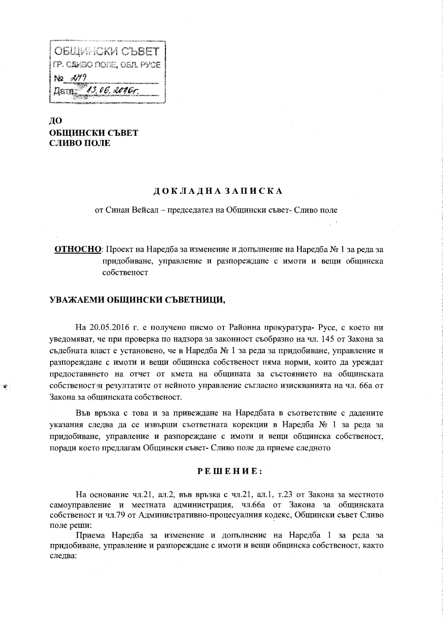| OBLING CHARGET                |
|-------------------------------|
| I FP. CEWEO PIOJE, OEJL PYCE  |
| No 279                        |
| "13, 06. 2016r.<br><b>Dam</b> |
|                               |

ДО ОБШИНСКИ СЪВЕТ СЛИВО ПОЛЕ

### ДОКЛАДНАЗАПИСКА

от Синан Вейсал - председател на Общински съвет- Сливо поле

ОТНОСНО: Проект на Наредба за изменение и допълнение на Наредба № 1 за реда за придобиване, управление и разпореждане с имоти и вещи общинска собственост

### УВАЖАЕМИ ОБЩИНСКИ СЪВЕТНИЦИ,

На 20.05.2016 г. е получено писмо от Районна прокуратура- Русе, с което ни уведомяват, че при проверка по надзора за законност съобразно на чл. 145 от Закона за съдебната власт е установено, че в Наредба № 1 за реда за придобиване, управление и разпореждане с имоти и вещи общинска собственост няма норми, които да уреждат предоставянето на отчет от кмета на общината за състоянието на общинската собственост и резултатите от нейното управление съгласно изискванията на чл. 66а от Закона за общинската собственост.

Във връзка с това и за привеждане на Наредбата в съответствие с дадените указания следва да се извърши съответната корекции в Наредба № 1 за реда за придобиване, управление и разпореждане с имоти и вещи общинска собственост, поради което предлагам Общински съвет- Сливо поле да приеме следното

### РЕШЕНИЕ:

На основание чл.21, ал.2, във връзка с чл.21, ал.1, т.23 от Закона за местното самоуправление и местната администрация, чл.66а от Закона за общинската собственост и чл.79 от Административно-процесуалния кодекс, Общински съвет Сливо поле реши:

Приема Наредба за изменение и допълнение на Наредба 1 за реда за придобиване, управление и разпореждане с имоти и вещи общинска собственост, както следва: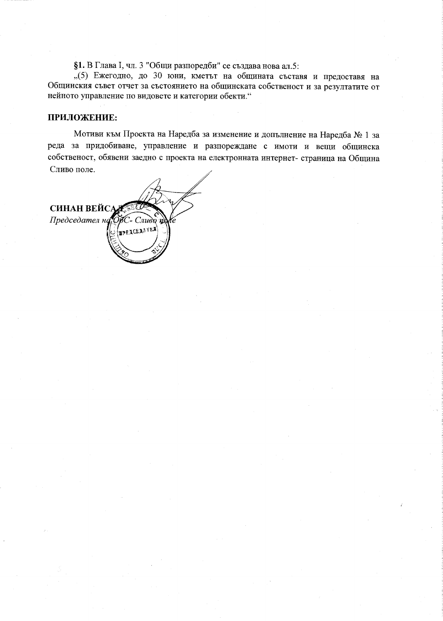§1. В Глава I, чл. 3 "Общи разпоредби" се създава нова ал.5:

"(5) Ежегодно, до 30 юни, кметът на общината съставя и предоставя на Общинския съвет отчет за състоянието на общинската собственост и за резултатите от нейното управление по видовете и категории обекти."

## ПРИЛОЖЕНИЕ:

Мотиви към Проекта на Наредба за изменение и допълнение на Наредба № 1 за реда за придобиване, управление и разпореждане с имоти и вещи общинска собственост, обявени заедно с проекта на електронната интернет- страница на Община Сливо поле.

**СИНАН ВЕЙСАД** Председател на OUC- $C$ *nugo* n Ye **EXCEANTER**